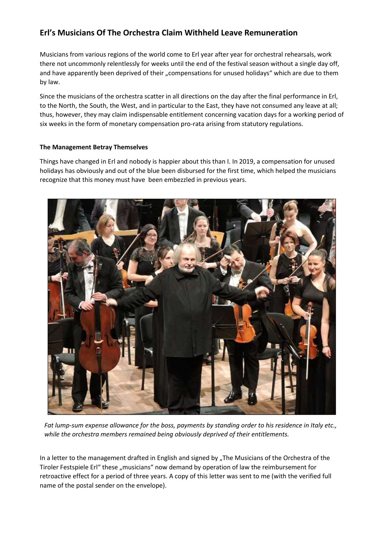## **Erl's Musicians Of The Orchestra Claim Withheld Leave Remuneration**

Musicians from various regions of the world come to Erl year after year for orchestral rehearsals, work there not uncommonly relentlessly for weeks until the end of the festival season without a single day off, and have apparently been deprived of their "compensations for unused holidays" which are due to them by law.

Since the musicians of the orchestra scatter in all directions on the day after the final performance in Erl, to the North, the South, the West, and in particular to the East, they have not consumed any leave at all; thus, however, they may claim indispensable entitlement concerning vacation days for a working period of six weeks in the form of monetary compensation pro-rata arising from statutory regulations.

## **The Management Betray Themselves**

Things have changed in Erl and nobody is happier about this than I. In 2019, a compensation for unused holidays has obviously and out of the blue been disbursed for the first time, which helped the musicians recognize that this money must have been embezzled in previous years.



*Fat lump-sum expense allowance for the boss, payments by standing order to his residence in Italy etc., while the orchestra members remained being obviously deprived of their entitlements.*

In a letter to the management drafted in English and signed by "The Musicians of the Orchestra of the Tiroler Festspiele Erl" these "musicians" now demand by operation of law the reimbursement for retroactive effect for a period of three years. A copy of this letter was sent to me (with the verified full name of the postal sender on the envelope).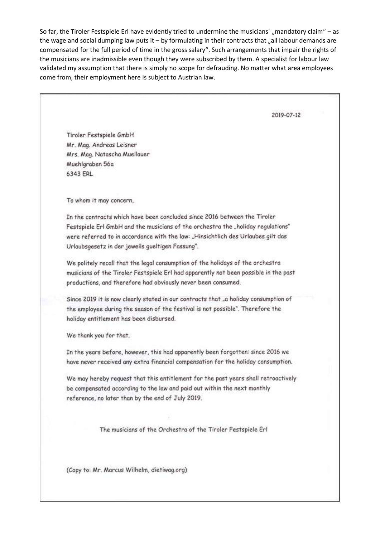So far, the Tiroler Festspiele Erl have evidently tried to undermine the musicians´, mandatory claim" – as the wage and social dumping law puts it  $-$  by formulating in their contracts that "all labour demands are compensated for the full period of time in the gross salary". Such arrangements that impair the rights of the musicians are inadmissible even though they were subscribed by them. A specialist for labour law validated my assumption that there is simply no scope for defrauding. No matter what area employees come from, their employment here is subject to Austrian law.

2019-07-12 Tiroler Festspiele GmbH Mr. Mag. Andreas Leisner Mrs. Mag. Natascha Muellauer Muehlgraben 56a 6343 ERL To whom it may concern. In the contracts which have been concluded since 2016 between the Tiroler Festspiele Erl GmbH and the musicians of the orchestra the "holiday regulations" were referred to in accordance with the law: "Hinsichtlich des Urlaubes gilt das Urlaubsgesetz in der jeweils gueltigen Fassung". We politely recall that the legal consumption of the holidays of the orchestra musicians of the Tiroler Festspiele Erl had apparently not been possible in the past productions, and therefore had obviously never been consumed. Since 2019 it is now clearly stated in our contracts that "a holiday consumption of the employee during the season of the festival is not possible". Therefore the holiday entitlement has been disbursed. We thank you for that. In the years before, however, this had apparently been forgotten: since 2016 we have never received any extra financial compensation for the holiday consumption. We may hereby request that this entitlement for the past years shall retroactively be compensated according to the law and paid out within the next monthly reference, no later than by the end of July 2019. The musicians of the Orchestra of the Tiroler Festspiele Erl (Copy to: Mr. Marcus Wilhelm, dietiwag.org)